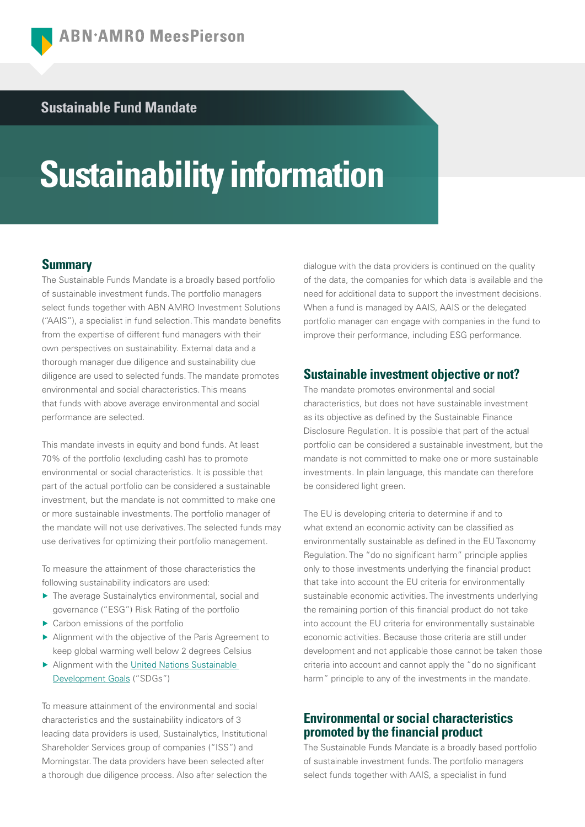# **Sustainable Fund Mandate**

# **Sustainability information**

## **Summary**

The Sustainable Funds Mandate is a broadly based portfolio of sustainable investment funds. The portfolio managers select funds together with ABN AMRO Investment Solutions ("AAIS"), a specialist in fund selection. This mandate benefits from the expertise of different fund managers with their own perspectives on sustainability. External data and a thorough manager due diligence and sustainability due diligence are used to selected funds. The mandate promotes environmental and social characteristics. This means that funds with above average environmental and social performance are selected.

This mandate invests in equity and bond funds. At least 70% of the portfolio (excluding cash) has to promote environmental or social characteristics. It is possible that part of the actual portfolio can be considered a sustainable investment, but the mandate is not committed to make one or more sustainable investments. The portfolio manager of the mandate will not use derivatives. The selected funds may use derivatives for optimizing their portfolio management.

To measure the attainment of those characteristics the following sustainability indicators are used:

- ▶ The average Sustainalytics environmental, social and governance ("ESG") Risk Rating of the portfolio
- $\blacktriangleright$  Carbon emissions of the portfolio
- ▶ Alignment with the objective of the Paris Agreement to keep global warming well below 2 degrees Celsius
- ▶ Alignment with the United Nations Sustainable [Development Goals](https://www.un.org/sustainabledevelopment/) ("SDGs")

To measure attainment of the environmental and social characteristics and the sustainability indicators of 3 leading data providers is used, Sustainalytics, Institutional Shareholder Services group of companies ("ISS") and Morningstar. The data providers have been selected after a thorough due diligence process. Also after selection the

dialogue with the data providers is continued on the quality of the data, the companies for which data is available and the need for additional data to support the investment decisions. When a fund is managed by AAIS, AAIS or the delegated portfolio manager can engage with companies in the fund to improve their performance, including ESG performance.

## **Sustainable investment objective or not?**

The mandate promotes environmental and social characteristics, but does not have sustainable investment as its objective as defined by the Sustainable Finance Disclosure Regulation. It is possible that part of the actual portfolio can be considered a sustainable investment, but the mandate is not committed to make one or more sustainable investments. In plain language, this mandate can therefore be considered light green.

The EU is developing criteria to determine if and to what extend an economic activity can be classified as environmentally sustainable as defined in the EU Taxonomy Regulation. The "do no significant harm" principle applies only to those investments underlying the financial product that take into account the EU criteria for environmentally sustainable economic activities. The investments underlying the remaining portion of this financial product do not take into account the EU criteria for environmentally sustainable economic activities. Because those criteria are still under development and not applicable those cannot be taken those criteria into account and cannot apply the "do no significant harm" principle to any of the investments in the mandate.

## **Environmental or social characteristics promoted by the financial product**

The Sustainable Funds Mandate is a broadly based portfolio of sustainable investment funds. The portfolio managers select funds together with AAIS, a specialist in fund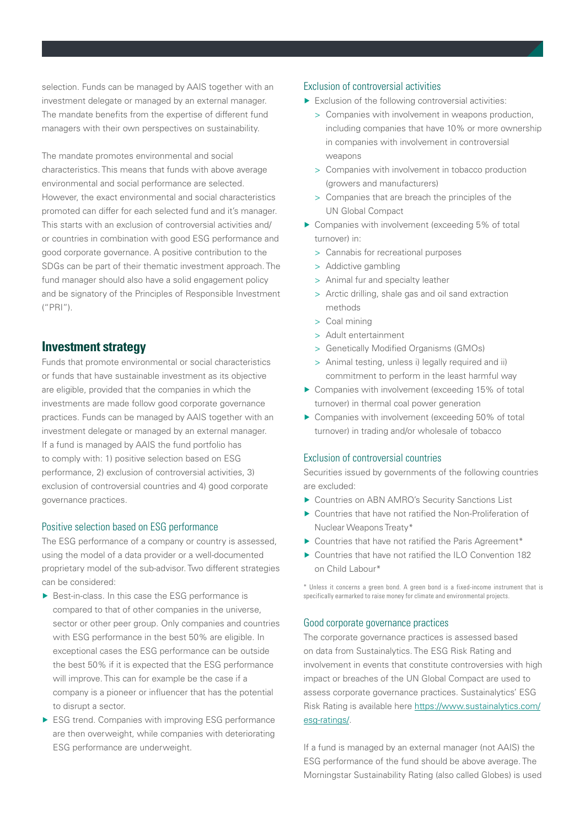selection. Funds can be managed by AAIS together with an investment delegate or managed by an external manager. The mandate benefits from the expertise of different fund managers with their own perspectives on sustainability.

The mandate promotes environmental and social characteristics. This means that funds with above average environmental and social performance are selected. However, the exact environmental and social characteristics promoted can differ for each selected fund and it's manager. This starts with an exclusion of controversial activities and/ or countries in combination with good ESG performance and good corporate governance. A positive contribution to the SDGs can be part of their thematic investment approach. The fund manager should also have a solid engagement policy and be signatory of the Principles of Responsible Investment ("PRI").

## **Investment strategy**

Funds that promote environmental or social characteristics or funds that have sustainable investment as its objective are eligible, provided that the companies in which the investments are made follow good corporate governance practices. Funds can be managed by AAIS together with an investment delegate or managed by an external manager. If a fund is managed by AAIS the fund portfolio has to comply with: 1) positive selection based on ESG performance, 2) exclusion of controversial activities, 3) exclusion of controversial countries and 4) good corporate governance practices.

#### Positive selection based on ESG performance

The ESG performance of a company or country is assessed, using the model of a data provider or a well-documented proprietary model of the sub-advisor. Two different strategies can be considered:

- ▶ Best-in-class. In this case the ESG performance is compared to that of other companies in the universe, sector or other peer group. Only companies and countries with ESG performance in the best 50% are eligible. In exceptional cases the ESG performance can be outside the best 50% if it is expected that the ESG performance will improve. This can for example be the case if a company is a pioneer or influencer that has the potential to disrupt a sector.
- ▶ ESG trend. Companies with improving ESG performance are then overweight, while companies with deteriorating ESG performance are underweight.

### Exclusion of controversial activities

- ▶ Exclusion of the following controversial activities:
	- > Companies with involvement in weapons production, including companies that have 10% or more ownership in companies with involvement in controversial weapons
	- > Companies with involvement in tobacco production (growers and manufacturers)
	- > Companies that are breach the principles of the UN Global Compact
- ▶ Companies with involvement (exceeding 5% of total turnover) in:
	- > Cannabis for recreational purposes
	- > Addictive gambling
	- > Animal fur and specialty leather
	- > Arctic drilling, shale gas and oil sand extraction methods
	- > Coal mining
	- > Adult entertainment
	- > Genetically Modified Organisms (GMOs)
	- > Animal testing, unless i) legally required and ii) commitment to perform in the least harmful way
- ▶ Companies with involvement (exceeding 15% of total turnover) in thermal coal power generation
- ▶ Companies with involvement (exceeding 50% of total turnover) in trading and/or wholesale of tobacco

### Exclusion of controversial countries

Securities issued by governments of the following countries are excluded:

- ▶ Countries on ABN AMRO's Security Sanctions List
- ▶ Countries that have not ratified the Non-Proliferation of Nuclear Weapons Treaty\*
- ▶ Countries that have not ratified the Paris Agreement\*
- ▶ Countries that have not ratified the ILO Convention 182 on Child Labour\*

\* Unless it concerns a green bond. A green bond is a fixed-income instrument that is specifically earmarked to raise money for climate and environmental projects.

#### Good corporate governance practices

The corporate governance practices is assessed based on data from Sustainalytics. The ESG Risk Rating and involvement in events that constitute controversies with high impact or breaches of the UN Global Compact are used to assess corporate governance practices. Sustainalytics' ESG Risk Rating is available here [https://www.sustainalytics.com/](https://www.sustainalytics.com/esg-ratings/) [esg-ratings/](https://www.sustainalytics.com/esg-ratings/).

If a fund is managed by an external manager (not AAIS) the ESG performance of the fund should be above average. The Morningstar Sustainability Rating (also called Globes) is used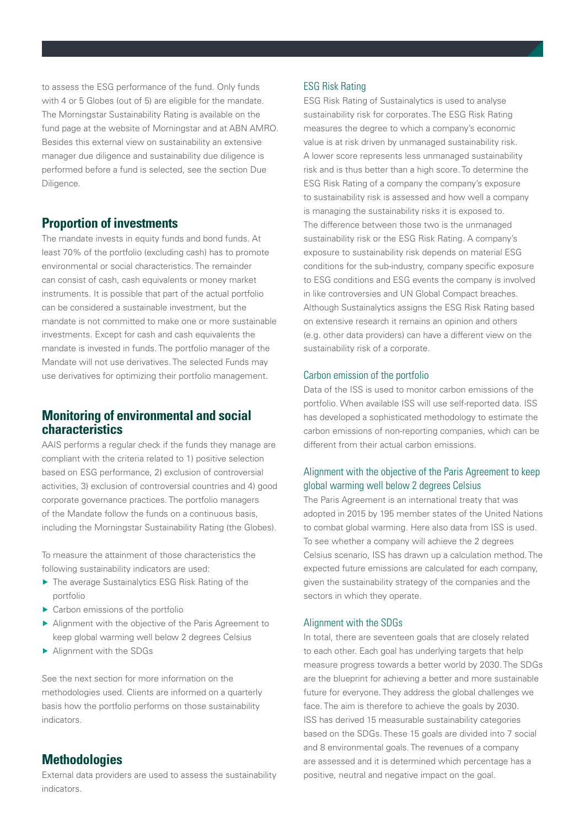to assess the ESG performance of the fund. Only funds with 4 or 5 Globes (out of 5) are eligible for the mandate. The Morningstar Sustainability Rating is available on the fund page at the website of Morningstar and at ABN AMRO. Besides this external view on sustainability an extensive manager due diligence and sustainability due diligence is performed before a fund is selected, see the section Due Diligence.

## **Proportion of investments**

The mandate invests in equity funds and bond funds. At least 70% of the portfolio (excluding cash) has to promote environmental or social characteristics. The remainder can consist of cash, cash equivalents or money market instruments. It is possible that part of the actual portfolio can be considered a sustainable investment, but the mandate is not committed to make one or more sustainable investments. Except for cash and cash equivalents the mandate is invested in funds. The portfolio manager of the Mandate will not use derivatives. The selected Funds may use derivatives for optimizing their portfolio management.

## **Monitoring of environmental and social characteristics**

AAIS performs a regular check if the funds they manage are compliant with the criteria related to 1) positive selection based on ESG performance, 2) exclusion of controversial activities, 3) exclusion of controversial countries and 4) good corporate governance practices. The portfolio managers of the Mandate follow the funds on a continuous basis, including the Morningstar Sustainability Rating (the Globes).

To measure the attainment of those characteristics the following sustainability indicators are used:

- ▶ The average Sustainalytics ESG Risk Rating of the portfolio
- $\blacktriangleright$  Carbon emissions of the portfolio
- ▶ Alignment with the objective of the Paris Agreement to keep global warming well below 2 degrees Celsius
- ▶ Alignment with the SDGs

See the next section for more information on the methodologies used. Clients are informed on a quarterly basis how the portfolio performs on those sustainability indicators.

# **Methodologies**

External data providers are used to assess the sustainability indicators.

#### ESG Risk Rating

ESG Risk Rating of Sustainalytics is used to analyse sustainability risk for corporates. The ESG Risk Rating measures the degree to which a company's economic value is at risk driven by unmanaged sustainability risk. A lower score represents less unmanaged sustainability risk and is thus better than a high score. To determine the ESG Risk Rating of a company the company's exposure to sustainability risk is assessed and how well a company is managing the sustainability risks it is exposed to. The difference between those two is the unmanaged sustainability risk or the ESG Risk Rating. A company's exposure to sustainability risk depends on material ESG conditions for the sub-industry, company specific exposure to ESG conditions and ESG events the company is involved in like controversies and UN Global Compact breaches. Although Sustainalytics assigns the ESG Risk Rating based on extensive research it remains an opinion and others (e.g. other data providers) can have a different view on the sustainability risk of a corporate.

## Carbon emission of the portfolio

Data of the ISS is used to monitor carbon emissions of the portfolio. When available ISS will use self-reported data. ISS has developed a sophisticated methodology to estimate the carbon emissions of non-reporting companies, which can be different from their actual carbon emissions.

## Alignment with the objective of the Paris Agreement to keep global warming well below 2 degrees Celsius

The Paris Agreement is an international treaty that was adopted in 2015 by 195 member states of the United Nations to combat global warming. Here also data from ISS is used. To see whether a company will achieve the 2 degrees Celsius scenario, ISS has drawn up a calculation method. The expected future emissions are calculated for each company, given the sustainability strategy of the companies and the sectors in which they operate.

#### Alignment with the SDGs

In total, there are seventeen goals that are closely related to each other. Each goal has underlying targets that help measure progress towards a better world by 2030. The SDGs are the blueprint for achieving a better and more sustainable future for everyone. They address the global challenges we face. The aim is therefore to achieve the goals by 2030. ISS has derived 15 measurable sustainability categories based on the SDGs. These 15 goals are divided into 7 social and 8 environmental goals. The revenues of a company are assessed and it is determined which percentage has a positive, neutral and negative impact on the goal.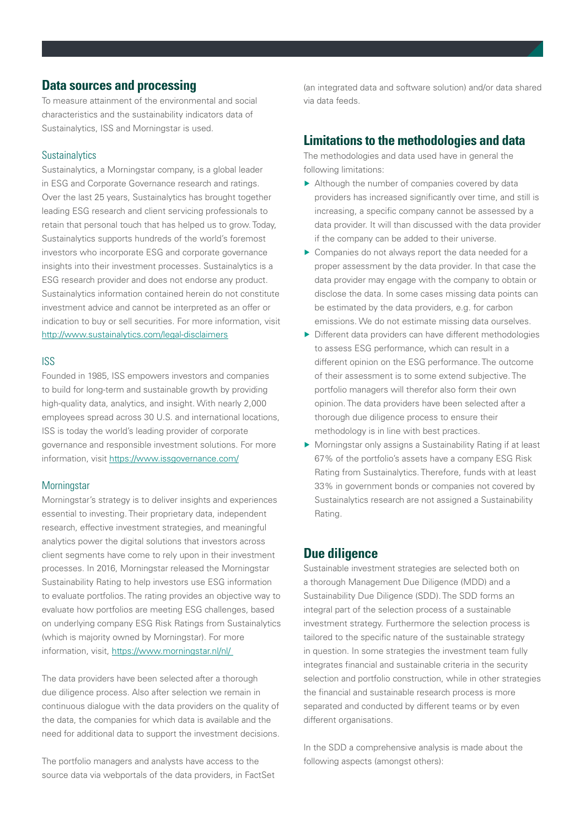## **Data sources and processing**

To measure attainment of the environmental and social characteristics and the sustainability indicators data of Sustainalytics, ISS and Morningstar is used.

## **Sustainalytics**

Sustainalytics, a Morningstar company, is a global leader in ESG and Corporate Governance research and ratings. Over the last 25 years, Sustainalytics has brought together leading ESG research and client servicing professionals to retain that personal touch that has helped us to grow. Today, Sustainalytics supports hundreds of the world's foremost investors who incorporate ESG and corporate governance insights into their investment processes. Sustainalytics is a ESG research provider and does not endorse any product. Sustainalytics information contained herein do not constitute investment advice and cannot be interpreted as an offer or indication to buy or sell securities. For more information, visit <http://www.sustainalytics.com/legal-disclaimers>

#### ISS

Founded in 1985, ISS empowers investors and companies to build for long-term and sustainable growth by providing high-quality data, analytics, and insight. With nearly 2,000 employees spread across 30 U.S. and international locations, ISS is today the world's leading provider of corporate governance and responsible investment solutions. For more information, visit<https://www.issgovernance.com/>

#### **Morningstar**

Morningstar's strategy is to deliver insights and experiences essential to investing. Their proprietary data, independent research, effective investment strategies, and meaningful analytics power the digital solutions that investors across client segments have come to rely upon in their investment processes. In 2016, Morningstar released the Morningstar Sustainability Rating to help investors use ESG information to evaluate portfolios. The rating provides an objective way to evaluate how portfolios are meeting ESG challenges, based on underlying company ESG Risk Ratings from Sustainalytics (which is majority owned by Morningstar). For more information, visit, <https://www.morningstar.nl/nl/>

The data providers have been selected after a thorough due diligence process. Also after selection we remain in continuous dialogue with the data providers on the quality of the data, the companies for which data is available and the need for additional data to support the investment decisions.

The portfolio managers and analysts have access to the source data via webportals of the data providers, in FactSet

(an integrated data and software solution) and/or data shared via data feeds.

## **Limitations to the methodologies and data**

The methodologies and data used have in general the following limitations:

- ▶ Although the number of companies covered by data providers has increased significantly over time, and still is increasing, a specific company cannot be assessed by a data provider. It will than discussed with the data provider if the company can be added to their universe.
- ▶ Companies do not always report the data needed for a proper assessment by the data provider. In that case the data provider may engage with the company to obtain or disclose the data. In some cases missing data points can be estimated by the data providers, e.g. for carbon emissions. We do not estimate missing data ourselves.
- ▶ Different data providers can have different methodologies to assess ESG performance, which can result in a different opinion on the ESG performance. The outcome of their assessment is to some extend subjective. The portfolio managers will therefor also form their own opinion. The data providers have been selected after a thorough due diligence process to ensure their methodology is in line with best practices.
- ▶ Morningstar only assigns a Sustainability Rating if at least 67% of the portfolio's assets have a company ESG Risk Rating from Sustainalytics. Therefore, funds with at least 33% in government bonds or companies not covered by Sustainalytics research are not assigned a Sustainability Rating.

## **Due diligence**

Sustainable investment strategies are selected both on a thorough Management Due Diligence (MDD) and a Sustainability Due Diligence (SDD). The SDD forms an integral part of the selection process of a sustainable investment strategy. Furthermore the selection process is tailored to the specific nature of the sustainable strategy in question. In some strategies the investment team fully integrates financial and sustainable criteria in the security selection and portfolio construction, while in other strategies the financial and sustainable research process is more separated and conducted by different teams or by even different organisations.

In the SDD a comprehensive analysis is made about the following aspects (amongst others):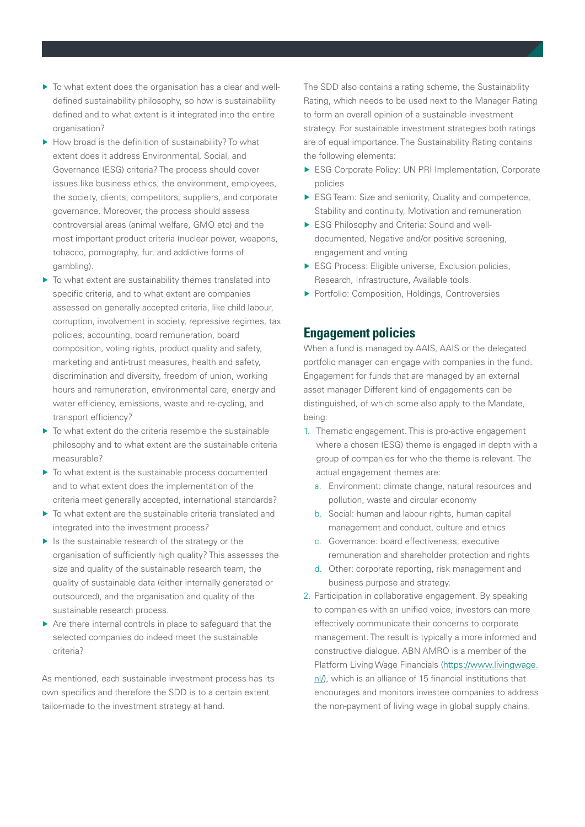- ▶ To what extent does the organisation has a clear and welldefined sustainability philosophy, so how is sustainability defined and to what extent is it integrated into the entire organisation?
- ▶ How broad is the definition of sustainability? To what extent does it address Environmental, Social, and Governance (ESG) criteria? The process should cover issues like business ethics, the environment, employees, the society, clients, competitors, suppliers, and corporate governance. Moreover, the process should assess controversial areas (animal welfare, GMO etc) and the most important product criteria (nuclear power, weapons, tobacco, pornography, fur, and addictive forms of gambling).
- ▶ To what extent are sustainability themes translated into specific criteria, and to what extent are companies assessed on generally accepted criteria, like child labour, corruption, involvement in society, repressive regimes, tax policies, accounting, board remuneration, board composition, voting rights, product quality and safety, marketing and anti-trust measures, health and safety, discrimination and diversity, freedom of union, working hours and remuneration, environmental care, energy and water efficiency, emissions, waste and re-cycling, and transport efficiency?
- ▶ To what extent do the criteria resemble the sustainable philosophy and to what extent are the sustainable criteria measurable?
- ▶ To what extent is the sustainable process documented and to what extent does the implementation of the criteria meet generally accepted, international standards?
- ▶ To what extent are the sustainable criteria translated and integrated into the investment process?
- ▶ Is the sustainable research of the strategy or the organisation of sufficiently high quality? This assesses the size and quality of the sustainable research team, the quality of sustainable data (either internally generated or outsourced), and the organisation and quality of the sustainable research process.
- ▶ Are there internal controls in place to safequard that the selected companies do indeed meet the sustainable criteria?

As mentioned, each sustainable investment process has its own specifics and therefore the SDD is to a certain extent tailor-made to the investment strategy at hand.

The SDD also contains a rating scheme, the Sustainability Rating, which needs to be used next to the Manager Rating to form an overall opinion of a sustainable investment strategy. For sustainable investment strategies both ratings are of equal importance. The Sustainability Rating contains the following elements:

- ▶ ESG Corporate Policy: UN PRI Implementation, Corporate policies
- ▶ ESG Team: Size and seniority, Quality and competence, Stability and continuity, Motivation and remuneration
- ▶ ESG Philosophy and Criteria: Sound and welldocumented, Negative and/or positive screening, engagement and voting
- ▶ ESG Process: Eligible universe, Exclusion policies, Research, Infrastructure, Available tools.
- ▶ Portfolio: Composition, Holdings, Controversies

## **Engagement policies**

When a fund is managed by AAIS, AAIS or the delegated portfolio manager can engage with companies in the fund. Engagement for funds that are managed by an external asset manager Different kind of engagements can be distinguished, of which some also apply to the Mandate, being:

- 1. Thematic engagement. This is pro-active engagement where a chosen (ESG) theme is engaged in depth with a group of companies for who the theme is relevant. The actual engagement themes are:
	- a. Environment: climate change, natural resources and pollution, waste and circular economy
	- b. Social: human and labour rights, human capital management and conduct, culture and ethics
	- c. Governance: board effectiveness, executive remuneration and shareholder protection and rights
	- d. Other: corporate reporting, risk management and business purpose and strategy.
- 2. Participation in collaborative engagement. By speaking to companies with an unified voice, investors can more effectively communicate their concerns to corporate management. The result is typically a more informed and constructive dialogue. ABN AMRO is a member of the Platform Living Wage Financials [\(https://www.livingwage.](https://www.livingwage.nl/) [nl/](https://www.livingwage.nl/)), which is an alliance of 15 financial institutions that encourages and monitors investee companies to address the non-payment of living wage in global supply chains.